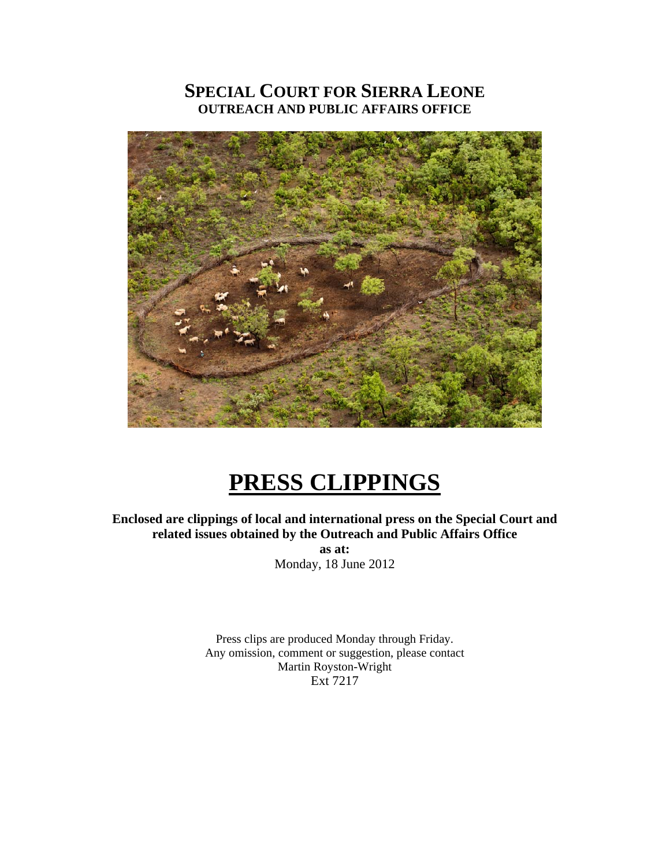## **SPECIAL COURT FOR SIERRA LEONE OUTREACH AND PUBLIC AFFAIRS OFFICE**



# **PRESS CLIPPINGS**

**Enclosed are clippings of local and international press on the Special Court and related issues obtained by the Outreach and Public Affairs Office** 

**as at:**  Monday, 18 June 2012

Press clips are produced Monday through Friday. Any omission, comment or suggestion, please contact Martin Royston-Wright Ext 7217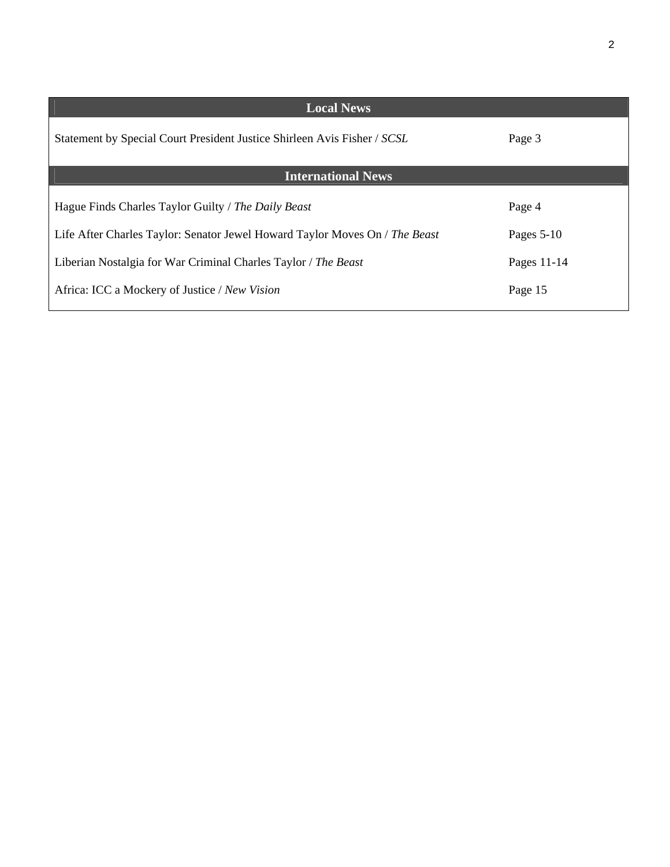| <b>Local News</b>                                                           |              |
|-----------------------------------------------------------------------------|--------------|
| Statement by Special Court President Justice Shirleen Avis Fisher / SCSL    | Page 3       |
| <b>International News</b>                                                   |              |
| Hague Finds Charles Taylor Guilty / The Daily Beast                         | Page 4       |
| Life After Charles Taylor: Senator Jewel Howard Taylor Moves On / The Beast | Pages $5-10$ |
| Liberian Nostalgia for War Criminal Charles Taylor / The Beast              | Pages 11-14  |
| Africa: ICC a Mockery of Justice / New Vision                               | Page 15      |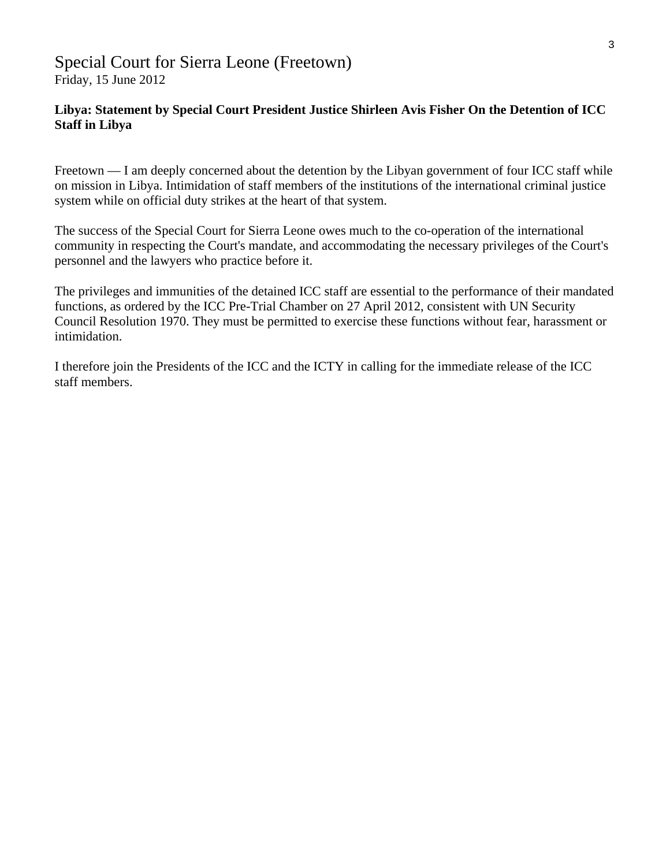### Special Court for Sierra Leone (Freetown) Friday, 15 June 2012

#### **Libya: Statement by Special Court President Justice Shirleen Avis Fisher On the Detention of ICC Staff in Libya**

Freetown — I am deeply concerned about the detention by the Libyan government of four ICC staff while on mission in Libya. Intimidation of staff members of the institutions of the international criminal justice system while on official duty strikes at the heart of that system.

The success of the Special Court for Sierra Leone owes much to the co-operation of the international community in respecting the Court's mandate, and accommodating the necessary privileges of the Court's personnel and the lawyers who practice before it.

The privileges and immunities of the detained ICC staff are essential to the performance of their mandated functions, as ordered by the ICC Pre-Trial Chamber on 27 April 2012, consistent with UN Security Council Resolution 1970. They must be permitted to exercise these functions without fear, harassment or intimidation.

I therefore join the Presidents of the ICC and the ICTY in calling for the immediate release of the ICC staff members.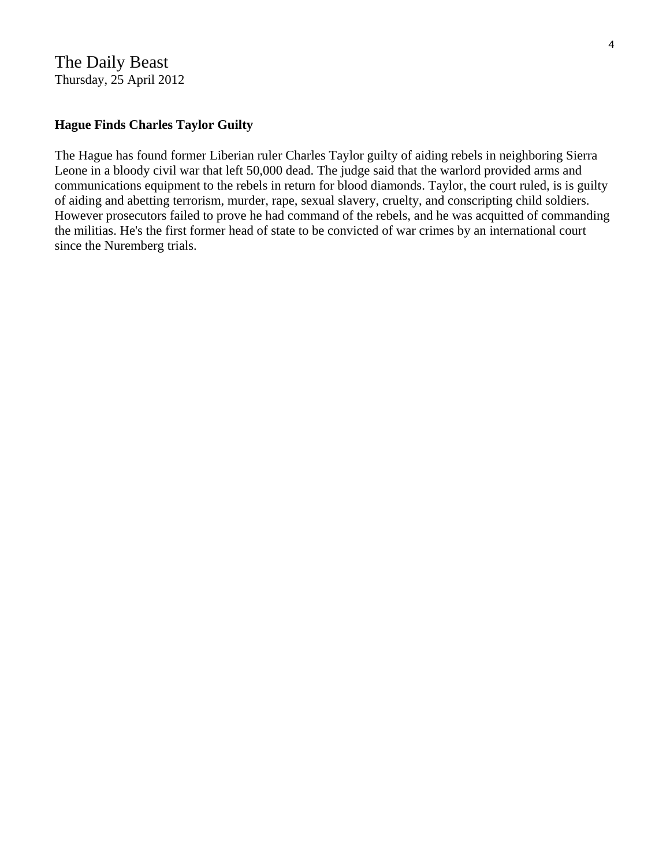The Daily Beast Thursday, 25 April 2012

#### **Hague Finds Charles Taylor Guilty**

The Hague has found former Liberian ruler Charles Taylor guilty of aiding rebels in neighboring Sierra Leone in a bloody civil war that left 50,000 dead. The judge said that the warlord provided arms and communications equipment to the rebels in return for blood diamonds. Taylor, the court ruled, is is guilty of aiding and abetting terrorism, murder, rape, sexual slavery, cruelty, and conscripting child soldiers. However prosecutors failed to prove he had command of the rebels, and he was acquitted of commanding the militias. He's the first former head of state to be convicted of war crimes by an international court since the Nuremberg trials.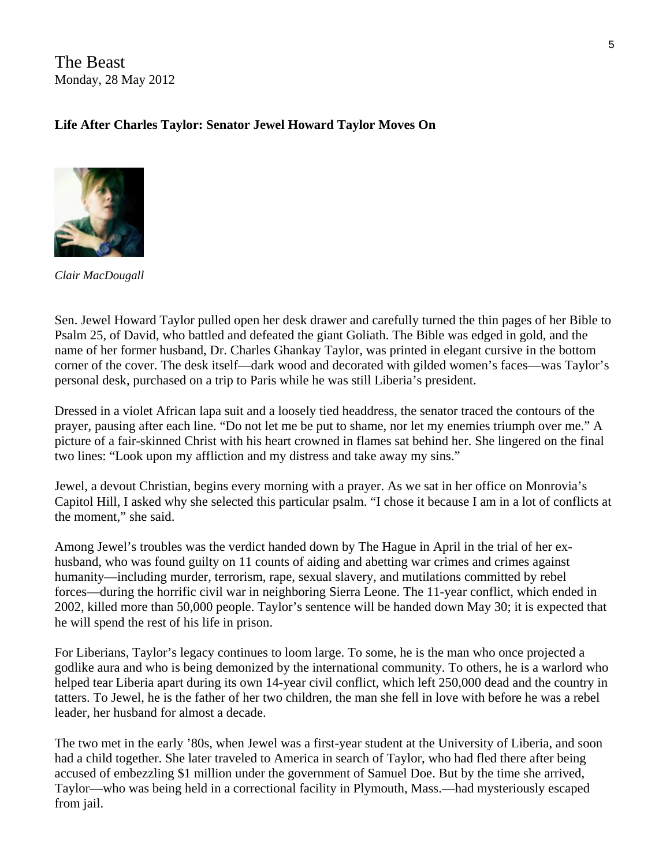The Beast Monday, 28 May 2012

#### **Life After Charles Taylor: Senator Jewel Howard Taylor Moves On**



*Clair MacDougall* 

Sen. Jewel Howard Taylor pulled open her desk drawer and carefully turned the thin pages of her Bible to Psalm 25, of David, who battled and defeated the giant Goliath. The Bible was edged in gold, and the name of her former husband, Dr. Charles Ghankay Taylor, was printed in elegant cursive in the bottom corner of the cover. The desk itself—dark wood and decorated with gilded women's faces—was Taylor's personal desk, purchased on a trip to Paris while he was still Liberia's president.

Dressed in a violet African lapa suit and a loosely tied headdress, the senator traced the contours of the prayer, pausing after each line. "Do not let me be put to shame, nor let my enemies triumph over me." A picture of a fair-skinned Christ with his heart crowned in flames sat behind her. She lingered on the final two lines: "Look upon my affliction and my distress and take away my sins."

Jewel, a devout Christian, begins every morning with a prayer. As we sat in her office on Monrovia's Capitol Hill, I asked why she selected this particular psalm. "I chose it because I am in a lot of conflicts at the moment," she said.

Among Jewel's troubles was the verdict handed down by The Hague in April in the trial of her exhusband, who was found guilty on 11 counts of aiding and abetting war crimes and crimes against humanity—including murder, terrorism, rape, sexual slavery, and mutilations committed by rebel forces—during the horrific civil war in neighboring Sierra Leone. The 11-year conflict, which ended in 2002, killed more than 50,000 people. Taylor's sentence will be handed down May 30; it is expected that he will spend the rest of his life in prison.

For Liberians, Taylor's legacy continues to loom large. To some, he is the man who once projected a godlike aura and who is being demonized by the international community. To others, he is a warlord who helped tear Liberia apart during its own 14-year civil conflict, which left 250,000 dead and the country in tatters. To Jewel, he is the father of her two children, the man she fell in love with before he was a rebel leader, her husband for almost a decade.

The two met in the early '80s, when Jewel was a first-year student at the University of Liberia, and soon had a child together. She later traveled to America in search of Taylor, who had fled there after being accused of embezzling \$1 million under the government of Samuel Doe. But by the time she arrived, Taylor—who was being held in a correctional facility in Plymouth, Mass.—had mysteriously escaped from jail.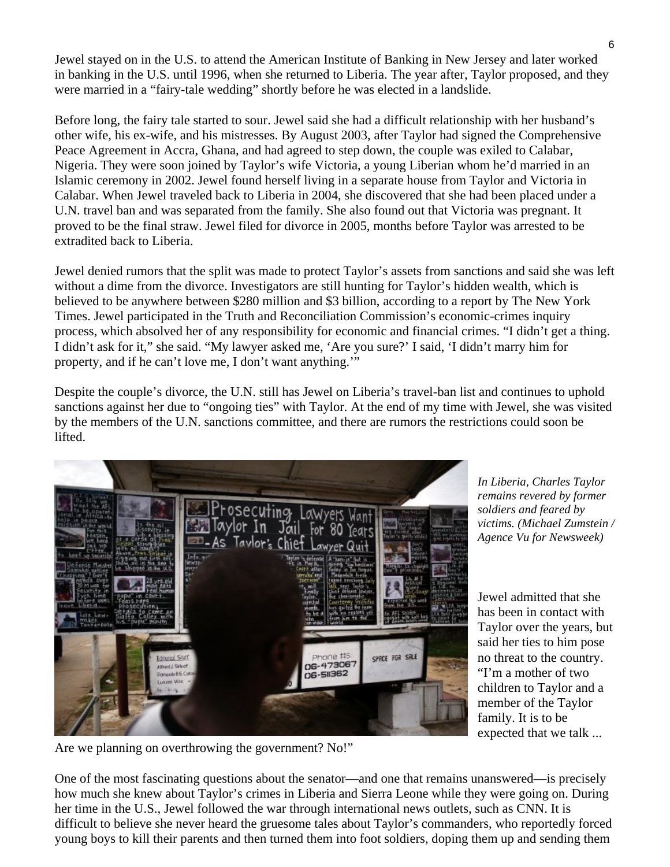Jewel stayed on in the U.S. to attend the American Institute of Banking in New Jersey and later worked in banking in the U.S. until 1996, when she returned to Liberia. The year after, Taylor proposed, and they were married in a "fairy-tale wedding" shortly before he was elected in a landslide.

Before long, the fairy tale started to sour. Jewel said she had a difficult relationship with her husband's other wife, his ex-wife, and his mistresses. By August 2003, after Taylor had signed the Comprehensive Peace Agreement in Accra, Ghana, and had agreed to step down, the couple was exiled to Calabar, Nigeria. They were soon joined by Taylor's wife Victoria, a young Liberian whom he'd married in an Islamic ceremony in 2002. Jewel found herself living in a separate house from Taylor and Victoria in Calabar. When Jewel traveled back to Liberia in 2004, she discovered that she had been placed under a U.N. travel ban and was separated from the family. She also found out that Victoria was pregnant. It proved to be the final straw. Jewel filed for divorce in 2005, months before Taylor was arrested to be extradited back to Liberia.

Jewel denied rumors that the split was made to protect Taylor's assets from sanctions and said she was left without a dime from the divorce. Investigators are still hunting for Taylor's hidden wealth, which is believed to be anywhere between \$280 million and \$3 billion, according to a report by The New York Times. Jewel participated in the Truth and Reconciliation Commission's economic-crimes inquiry process, which absolved her of any responsibility for economic and financial crimes. "I didn't get a thing. I didn't ask for it," she said. "My lawyer asked me, 'Are you sure?' I said, 'I didn't marry him for property, and if he can't love me, I don't want anything.'"

Despite the couple's divorce, the U.N. still has Jewel on Liberia's travel-ban list and continues to uphold sanctions against her due to "ongoing ties" with Taylor. At the end of my time with Jewel, she was visited by the members of the U.N. sanctions committee, and there are rumors the restrictions could soon be lifted.



*In Liberia, Charles Taylor remains revered by former soldiers and feared by victims. (Michael Zumstein / Agence Vu for Newsweek)* 

Jewel admitted that she has been in contact with Taylor over the years, but said her ties to him pose no threat to the country. "I'm a mother of two children to Taylor and a member of the Taylor family. It is to be expected that we talk ...

Are we planning on overthrowing the government? No!"

One of the most fascinating questions about the senator—and one that remains unanswered—is precisely how much she knew about Taylor's crimes in Liberia and Sierra Leone while they were going on. During her time in the U.S., Jewel followed the war through international news outlets, such as CNN. It is difficult to believe she never heard the gruesome tales about Taylor's commanders, who reportedly forced young boys to kill their parents and then turned them into foot soldiers, doping them up and sending them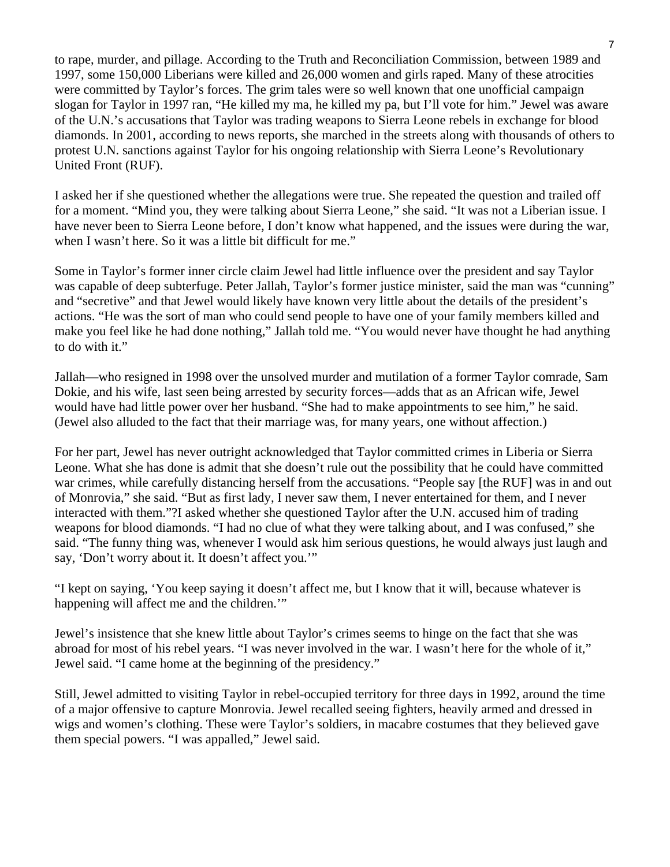to rape, murder, and pillage. According to the Truth and Reconciliation Commission, between 1989 and 1997, some 150,000 Liberians were killed and 26,000 women and girls raped. Many of these atrocities were committed by Taylor's forces. The grim tales were so well known that one unofficial campaign slogan for Taylor in 1997 ran, "He killed my ma, he killed my pa, but I'll vote for him." Jewel was aware of the U.N.'s accusations that Taylor was trading weapons to Sierra Leone rebels in exchange for blood diamonds. In 2001, according to news reports, she marched in the streets along with thousands of others to protest U.N. sanctions against Taylor for his ongoing relationship with Sierra Leone's Revolutionary United Front (RUF).

I asked her if she questioned whether the allegations were true. She repeated the question and trailed off for a moment. "Mind you, they were talking about Sierra Leone," she said. "It was not a Liberian issue. I have never been to Sierra Leone before, I don't know what happened, and the issues were during the war, when I wasn't here. So it was a little bit difficult for me."

Some in Taylor's former inner circle claim Jewel had little influence over the president and say Taylor was capable of deep subterfuge. Peter Jallah, Taylor's former justice minister, said the man was "cunning" and "secretive" and that Jewel would likely have known very little about the details of the president's actions. "He was the sort of man who could send people to have one of your family members killed and make you feel like he had done nothing," Jallah told me. "You would never have thought he had anything to do with it."

Jallah—who resigned in 1998 over the unsolved murder and mutilation of a former Taylor comrade, Sam Dokie, and his wife, last seen being arrested by security forces—adds that as an African wife, Jewel would have had little power over her husband. "She had to make appointments to see him," he said. (Jewel also alluded to the fact that their marriage was, for many years, one without affection.)

For her part, Jewel has never outright acknowledged that Taylor committed crimes in Liberia or Sierra Leone. What she has done is admit that she doesn't rule out the possibility that he could have committed war crimes, while carefully distancing herself from the accusations. "People say [the RUF] was in and out of Monrovia," she said. "But as first lady, I never saw them, I never entertained for them, and I never interacted with them."?I asked whether she questioned Taylor after the U.N. accused him of trading weapons for blood diamonds. "I had no clue of what they were talking about, and I was confused," she said. "The funny thing was, whenever I would ask him serious questions, he would always just laugh and say, 'Don't worry about it. It doesn't affect you.'"

"I kept on saying, 'You keep saying it doesn't affect me, but I know that it will, because whatever is happening will affect me and the children.'"

Jewel's insistence that she knew little about Taylor's crimes seems to hinge on the fact that she was abroad for most of his rebel years. "I was never involved in the war. I wasn't here for the whole of it," Jewel said. "I came home at the beginning of the presidency."

Still, Jewel admitted to visiting Taylor in rebel-occupied territory for three days in 1992, around the time of a major offensive to capture Monrovia. Jewel recalled seeing fighters, heavily armed and dressed in wigs and women's clothing. These were Taylor's soldiers, in macabre costumes that they believed gave them special powers. "I was appalled," Jewel said.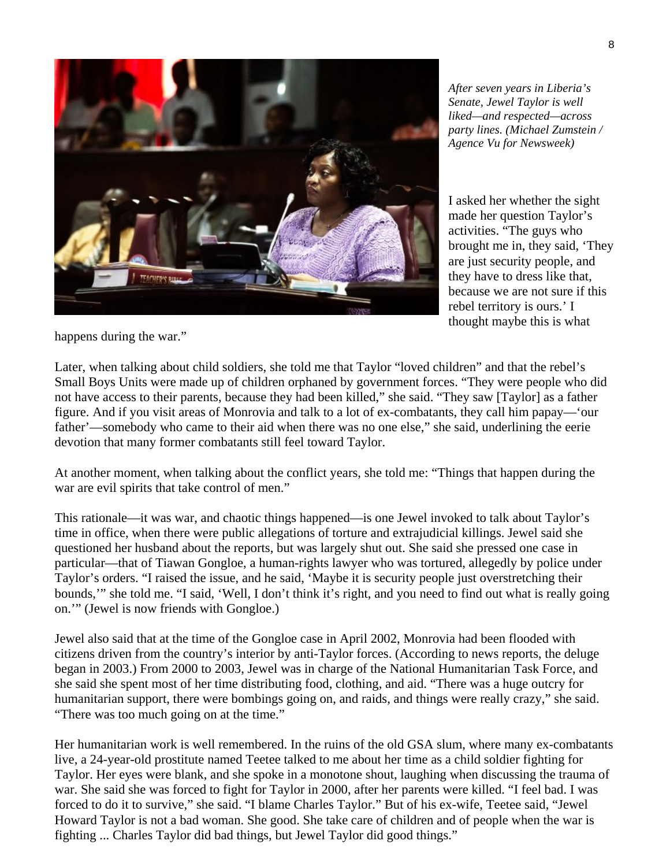

*After seven years in Liberia's Senate, Jewel Taylor is well liked—and respected—across party lines. (Michael Zumstein / Agence Vu for Newsweek)* 

I asked her whether the sight made her question Taylor's activities. "The guys who brought me in, they said, 'They are just security people, and they have to dress like that, because we are not sure if this rebel territory is ours.' I thought maybe this is what

happens during the war."

Later, when talking about child soldiers, she told me that Taylor "loved children" and that the rebel's Small Boys Units were made up of children orphaned by government forces. "They were people who did not have access to their parents, because they had been killed," she said. "They saw [Taylor] as a father figure. And if you visit areas of Monrovia and talk to a lot of ex-combatants, they call him papay—'our father'—somebody who came to their aid when there was no one else," she said, underlining the eerie devotion that many former combatants still feel toward Taylor.

At another moment, when talking about the conflict years, she told me: "Things that happen during the war are evil spirits that take control of men."

This rationale—it was war, and chaotic things happened—is one Jewel invoked to talk about Taylor's time in office, when there were public allegations of torture and extrajudicial killings. Jewel said she questioned her husband about the reports, but was largely shut out. She said she pressed one case in particular—that of Tiawan Gongloe, a human-rights lawyer who was tortured, allegedly by police under Taylor's orders. "I raised the issue, and he said, 'Maybe it is security people just overstretching their bounds,'" she told me. "I said, 'Well, I don't think it's right, and you need to find out what is really going on.'" (Jewel is now friends with Gongloe.)

Jewel also said that at the time of the Gongloe case in April 2002, Monrovia had been flooded with citizens driven from the country's interior by anti-Taylor forces. (According to news reports, the deluge began in 2003.) From 2000 to 2003, Jewel was in charge of the National Humanitarian Task Force, and she said she spent most of her time distributing food, clothing, and aid. "There was a huge outcry for humanitarian support, there were bombings going on, and raids, and things were really crazy," she said. "There was too much going on at the time."

Her humanitarian work is well remembered. In the ruins of the old GSA slum, where many ex-combatants live, a 24-year-old prostitute named Teetee talked to me about her time as a child soldier fighting for Taylor. Her eyes were blank, and she spoke in a monotone shout, laughing when discussing the trauma of war. She said she was forced to fight for Taylor in 2000, after her parents were killed. "I feel bad. I was forced to do it to survive," she said. "I blame Charles Taylor." But of his ex-wife, Teetee said, "Jewel Howard Taylor is not a bad woman. She good. She take care of children and of people when the war is fighting ... Charles Taylor did bad things, but Jewel Taylor did good things."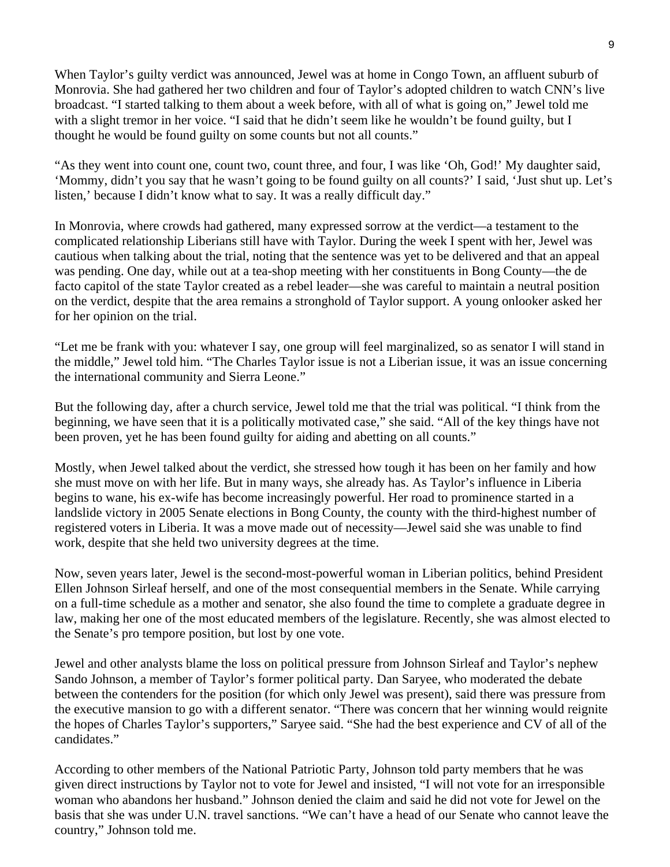When Taylor's guilty verdict was announced, Jewel was at home in Congo Town, an affluent suburb of Monrovia. She had gathered her two children and four of Taylor's adopted children to watch CNN's live broadcast. "I started talking to them about a week before, with all of what is going on," Jewel told me with a slight tremor in her voice. "I said that he didn't seem like he wouldn't be found guilty, but I thought he would be found guilty on some counts but not all counts."

"As they went into count one, count two, count three, and four, I was like 'Oh, God!' My daughter said, 'Mommy, didn't you say that he wasn't going to be found guilty on all counts?' I said, 'Just shut up. Let's listen,' because I didn't know what to say. It was a really difficult day."

In Monrovia, where crowds had gathered, many expressed sorrow at the verdict—a testament to the complicated relationship Liberians still have with Taylor. During the week I spent with her, Jewel was cautious when talking about the trial, noting that the sentence was yet to be delivered and that an appeal was pending. One day, while out at a tea-shop meeting with her constituents in Bong County—the de facto capitol of the state Taylor created as a rebel leader—she was careful to maintain a neutral position on the verdict, despite that the area remains a stronghold of Taylor support. A young onlooker asked her for her opinion on the trial.

"Let me be frank with you: whatever I say, one group will feel marginalized, so as senator I will stand in the middle," Jewel told him. "The Charles Taylor issue is not a Liberian issue, it was an issue concerning the international community and Sierra Leone."

But the following day, after a church service, Jewel told me that the trial was political. "I think from the beginning, we have seen that it is a politically motivated case," she said. "All of the key things have not been proven, yet he has been found guilty for aiding and abetting on all counts."

Mostly, when Jewel talked about the verdict, she stressed how tough it has been on her family and how she must move on with her life. But in many ways, she already has. As Taylor's influence in Liberia begins to wane, his ex-wife has become increasingly powerful. Her road to prominence started in a landslide victory in 2005 Senate elections in Bong County, the county with the third-highest number of registered voters in Liberia. It was a move made out of necessity—Jewel said she was unable to find work, despite that she held two university degrees at the time.

Now, seven years later, Jewel is the second-most-powerful woman in Liberian politics, behind President Ellen Johnson Sirleaf herself, and one of the most consequential members in the Senate. While carrying on a full-time schedule as a mother and senator, she also found the time to complete a graduate degree in law, making her one of the most educated members of the legislature. Recently, she was almost elected to the Senate's pro tempore position, but lost by one vote.

Jewel and other analysts blame the loss on political pressure from Johnson Sirleaf and Taylor's nephew Sando Johnson, a member of Taylor's former political party. Dan Saryee, who moderated the debate between the contenders for the position (for which only Jewel was present), said there was pressure from the executive mansion to go with a different senator. "There was concern that her winning would reignite the hopes of Charles Taylor's supporters," Saryee said. "She had the best experience and CV of all of the candidates."

According to other members of the National Patriotic Party, Johnson told party members that he was given direct instructions by Taylor not to vote for Jewel and insisted, "I will not vote for an irresponsible woman who abandons her husband." Johnson denied the claim and said he did not vote for Jewel on the basis that she was under U.N. travel sanctions. "We can't have a head of our Senate who cannot leave the country," Johnson told me.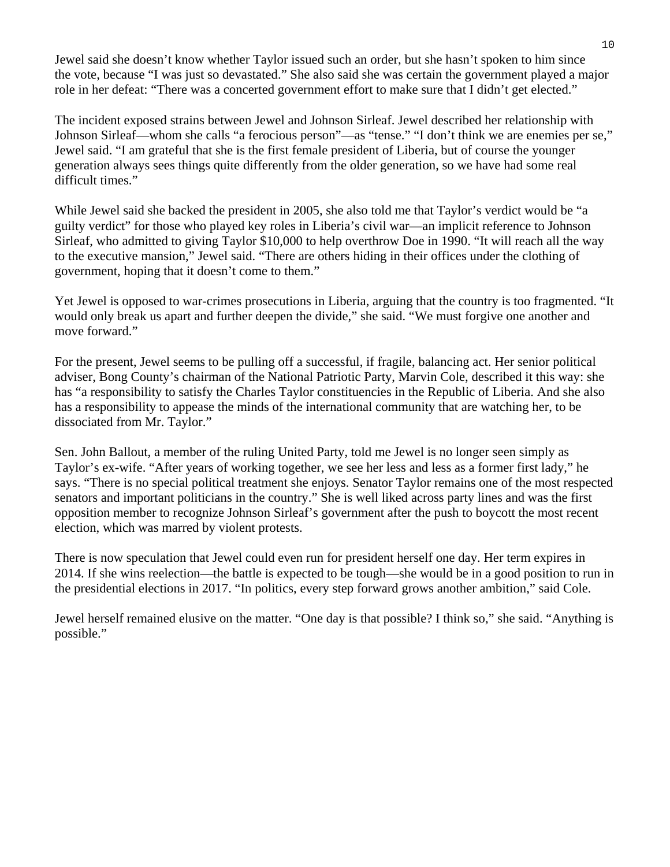Jewel said she doesn't know whether Taylor issued such an order, but she hasn't spoken to him since the vote, because "I was just so devastated." She also said she was certain the government played a major role in her defeat: "There was a concerted government effort to make sure that I didn't get elected."

The incident exposed strains between Jewel and Johnson Sirleaf. Jewel described her relationship with Johnson Sirleaf—whom she calls "a ferocious person"—as "tense." "I don't think we are enemies per se," Jewel said. "I am grateful that she is the first female president of Liberia, but of course the younger generation always sees things quite differently from the older generation, so we have had some real difficult times."

While Jewel said she backed the president in 2005, she also told me that Taylor's verdict would be "a guilty verdict" for those who played key roles in Liberia's civil war—an implicit reference to Johnson Sirleaf, who admitted to giving Taylor \$10,000 to help overthrow Doe in 1990. "It will reach all the way to the executive mansion," Jewel said. "There are others hiding in their offices under the clothing of government, hoping that it doesn't come to them."

Yet Jewel is opposed to war-crimes prosecutions in Liberia, arguing that the country is too fragmented. "It would only break us apart and further deepen the divide," she said. "We must forgive one another and move forward."

For the present, Jewel seems to be pulling off a successful, if fragile, balancing act. Her senior political adviser, Bong County's chairman of the National Patriotic Party, Marvin Cole, described it this way: she has "a responsibility to satisfy the Charles Taylor constituencies in the Republic of Liberia. And she also has a responsibility to appease the minds of the international community that are watching her, to be dissociated from Mr. Taylor."

Sen. John Ballout, a member of the ruling United Party, told me Jewel is no longer seen simply as Taylor's ex-wife. "After years of working together, we see her less and less as a former first lady," he says. "There is no special political treatment she enjoys. Senator Taylor remains one of the most respected senators and important politicians in the country." She is well liked across party lines and was the first opposition member to recognize Johnson Sirleaf's government after the push to boycott the most recent election, which was marred by violent protests.

There is now speculation that Jewel could even run for president herself one day. Her term expires in 2014. If she wins reelection—the battle is expected to be tough—she would be in a good position to run in the presidential elections in 2017. "In politics, every step forward grows another ambition," said Cole.

Jewel herself remained elusive on the matter. "One day is that possible? I think so," she said. "Anything is possible."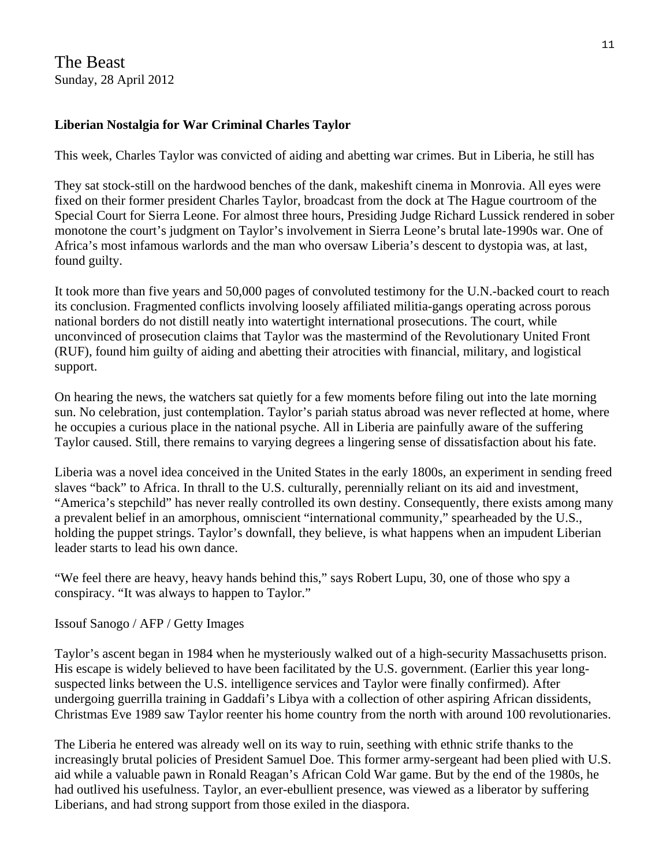The Beast Sunday, 28 April 2012

#### **Liberian Nostalgia for War Criminal Charles Taylor**

This week, Charles Taylor was convicted of aiding and abetting war crimes. But in Liberia, he still has

They sat stock-still on the hardwood benches of the dank, makeshift cinema in Monrovia. All eyes were fixed on their former president Charles Taylor, broadcast from the dock at The Hague courtroom of the Special Court for Sierra Leone. For almost three hours, Presiding Judge Richard Lussick rendered in sober monotone the court's judgment on Taylor's involvement in Sierra Leone's brutal late-1990s war. One of Africa's most infamous warlords and the man who oversaw Liberia's descent to dystopia was, at last, found guilty.

It took more than five years and 50,000 pages of convoluted testimony for the U.N.-backed court to reach its conclusion. Fragmented conflicts involving loosely affiliated militia-gangs operating across porous national borders do not distill neatly into watertight international prosecutions. The court, while unconvinced of prosecution claims that Taylor was the mastermind of the Revolutionary United Front (RUF), found him guilty of aiding and abetting their atrocities with financial, military, and logistical support.

On hearing the news, the watchers sat quietly for a few moments before filing out into the late morning sun. No celebration, just contemplation. Taylor's pariah status abroad was never reflected at home, where he occupies a curious place in the national psyche. All in Liberia are painfully aware of the suffering Taylor caused. Still, there remains to varying degrees a lingering sense of dissatisfaction about his fate.

Liberia was a novel idea conceived in the United States in the early 1800s, an experiment in sending freed slaves "back" to Africa. In thrall to the U.S. culturally, perennially reliant on its aid and investment, "America's stepchild" has never really controlled its own destiny. Consequently, there exists among many a prevalent belief in an amorphous, omniscient "international community," spearheaded by the U.S., holding the puppet strings. Taylor's downfall, they believe, is what happens when an impudent Liberian leader starts to lead his own dance.

"We feel there are heavy, heavy hands behind this," says Robert Lupu, 30, one of those who spy a conspiracy. "It was always to happen to Taylor."

#### Issouf Sanogo / AFP / Getty Images

Taylor's ascent began in 1984 when he mysteriously walked out of a high-security Massachusetts prison. His escape is widely believed to have been facilitated by the U.S. government. (Earlier this year longsuspected links between the U.S. intelligence services and Taylor were finally confirmed). After undergoing guerrilla training in Gaddafi's Libya with a collection of other aspiring African dissidents, Christmas Eve 1989 saw Taylor reenter his home country from the north with around 100 revolutionaries.

The Liberia he entered was already well on its way to ruin, seething with ethnic strife thanks to the increasingly brutal policies of President Samuel Doe. This former army-sergeant had been plied with U.S. aid while a valuable pawn in Ronald Reagan's African Cold War game. But by the end of the 1980s, he had outlived his usefulness. Taylor, an ever-ebullient presence, was viewed as a liberator by suffering Liberians, and had strong support from those exiled in the diaspora.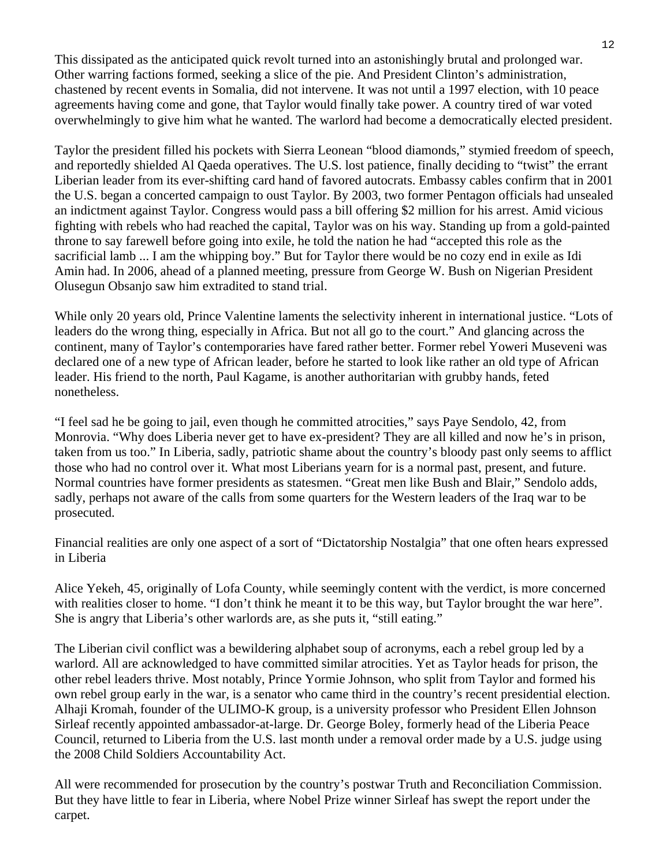This dissipated as the anticipated quick revolt turned into an astonishingly brutal and prolonged war. Other warring factions formed, seeking a slice of the pie. And President Clinton's administration, chastened by recent events in Somalia, did not intervene. It was not until a 1997 election, with 10 peace agreements having come and gone, that Taylor would finally take power. A country tired of war voted overwhelmingly to give him what he wanted. The warlord had become a democratically elected president.

Taylor the president filled his pockets with Sierra Leonean "blood diamonds," stymied freedom of speech, and reportedly shielded Al Qaeda operatives. The U.S. lost patience, finally deciding to "twist" the errant Liberian leader from its ever-shifting card hand of favored autocrats. Embassy cables confirm that in 2001 the U.S. began a concerted campaign to oust Taylor. By 2003, two former Pentagon officials had unsealed an indictment against Taylor. Congress would pass a bill offering \$2 million for his arrest. Amid vicious fighting with rebels who had reached the capital, Taylor was on his way. Standing up from a gold-painted throne to say farewell before going into exile, he told the nation he had "accepted this role as the sacrificial lamb ... I am the whipping boy." But for Taylor there would be no cozy end in exile as Idi Amin had. In 2006, ahead of a planned meeting, pressure from George W. Bush on Nigerian President Olusegun Obsanjo saw him extradited to stand trial.

While only 20 years old, Prince Valentine laments the selectivity inherent in international justice. "Lots of leaders do the wrong thing, especially in Africa. But not all go to the court." And glancing across the continent, many of Taylor's contemporaries have fared rather better. Former rebel Yoweri Museveni was declared one of a new type of African leader, before he started to look like rather an old type of African leader. His friend to the north, Paul Kagame, is another authoritarian with grubby hands, feted nonetheless.

"I feel sad he be going to jail, even though he committed atrocities," says Paye Sendolo, 42, from Monrovia. "Why does Liberia never get to have ex-president? They are all killed and now he's in prison, taken from us too." In Liberia, sadly, patriotic shame about the country's bloody past only seems to afflict those who had no control over it. What most Liberians yearn for is a normal past, present, and future. Normal countries have former presidents as statesmen. "Great men like Bush and Blair," Sendolo adds, sadly, perhaps not aware of the calls from some quarters for the Western leaders of the Iraq war to be prosecuted.

Financial realities are only one aspect of a sort of "Dictatorship Nostalgia" that one often hears expressed in Liberia

Alice Yekeh, 45, originally of Lofa County, while seemingly content with the verdict, is more concerned with realities closer to home. "I don't think he meant it to be this way, but Taylor brought the war here". She is angry that Liberia's other warlords are, as she puts it, "still eating."

The Liberian civil conflict was a bewildering alphabet soup of acronyms, each a rebel group led by a warlord. All are acknowledged to have committed similar atrocities. Yet as Taylor heads for prison, the other rebel leaders thrive. Most notably, Prince Yormie Johnson, who split from Taylor and formed his own rebel group early in the war, is a senator who came third in the country's recent presidential election. Alhaji Kromah, founder of the ULIMO-K group, is a university professor who President Ellen Johnson Sirleaf recently appointed ambassador-at-large. Dr. George Boley, formerly head of the Liberia Peace Council, returned to Liberia from the U.S. last month under a removal order made by a U.S. judge using the 2008 Child Soldiers Accountability Act.

All were recommended for prosecution by the country's postwar Truth and Reconciliation Commission. But they have little to fear in Liberia, where Nobel Prize winner Sirleaf has swept the report under the carpet.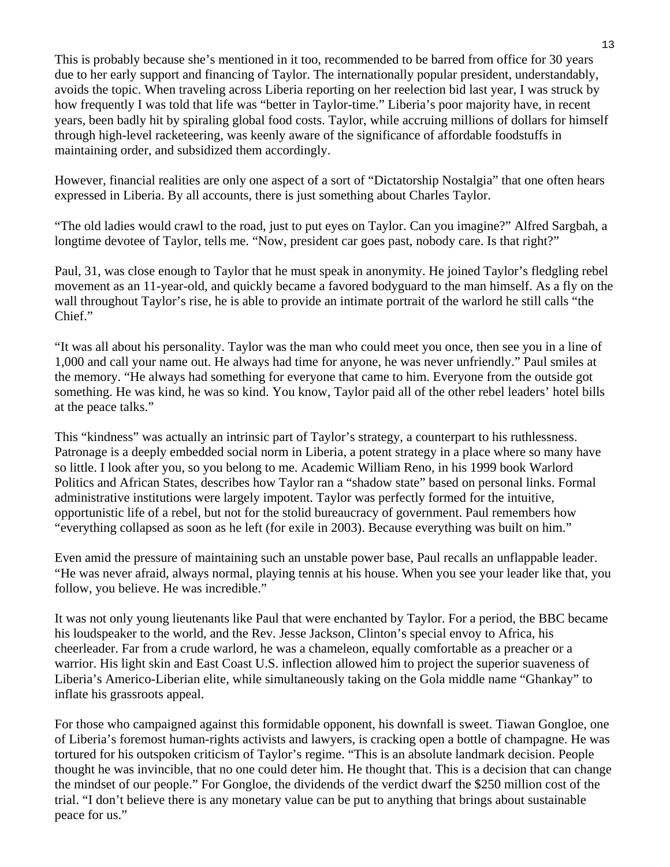This is probably because she's mentioned in it too, recommended to be barred from office for 30 years due to her early support and financing of Taylor. The internationally popular president, understandably, avoids the topic. When traveling across Liberia reporting on her reelection bid last year, I was struck by how frequently I was told that life was "better in Taylor-time." Liberia's poor majority have, in recent years, been badly hit by spiraling global food costs. Taylor, while accruing millions of dollars for himself through high-level racketeering, was keenly aware of the significance of affordable foodstuffs in maintaining order, and subsidized them accordingly.

However, financial realities are only one aspect of a sort of "Dictatorship Nostalgia" that one often hears expressed in Liberia. By all accounts, there is just something about Charles Taylor.

"The old ladies would crawl to the road, just to put eyes on Taylor. Can you imagine?" Alfred Sargbah, a longtime devotee of Taylor, tells me. "Now, president car goes past, nobody care. Is that right?"

Paul, 31, was close enough to Taylor that he must speak in anonymity. He joined Taylor's fledgling rebel movement as an 11-year-old, and quickly became a favored bodyguard to the man himself. As a fly on the wall throughout Taylor's rise, he is able to provide an intimate portrait of the warlord he still calls "the Chief."

"It was all about his personality. Taylor was the man who could meet you once, then see you in a line of 1,000 and call your name out. He always had time for anyone, he was never unfriendly." Paul smiles at the memory. "He always had something for everyone that came to him. Everyone from the outside got something. He was kind, he was so kind. You know, Taylor paid all of the other rebel leaders' hotel bills at the peace talks."

This "kindness" was actually an intrinsic part of Taylor's strategy, a counterpart to his ruthlessness. Patronage is a deeply embedded social norm in Liberia, a potent strategy in a place where so many have so little. I look after you, so you belong to me. Academic William Reno, in his 1999 book Warlord Politics and African States, describes how Taylor ran a "shadow state" based on personal links. Formal administrative institutions were largely impotent. Taylor was perfectly formed for the intuitive, opportunistic life of a rebel, but not for the stolid bureaucracy of government. Paul remembers how "everything collapsed as soon as he left (for exile in 2003). Because everything was built on him."

Even amid the pressure of maintaining such an unstable power base, Paul recalls an unflappable leader. "He was never afraid, always normal, playing tennis at his house. When you see your leader like that, you follow, you believe. He was incredible."

It was not only young lieutenants like Paul that were enchanted by Taylor. For a period, the BBC became his loudspeaker to the world, and the Rev. Jesse Jackson, Clinton's special envoy to Africa, his cheerleader. Far from a crude warlord, he was a chameleon, equally comfortable as a preacher or a warrior. His light skin and East Coast U.S. inflection allowed him to project the superior suaveness of Liberia's Americo-Liberian elite, while simultaneously taking on the Gola middle name "Ghankay" to inflate his grassroots appeal.

For those who campaigned against this formidable opponent, his downfall is sweet. Tiawan Gongloe, one of Liberia's foremost human-rights activists and lawyers, is cracking open a bottle of champagne. He was tortured for his outspoken criticism of Taylor's regime. "This is an absolute landmark decision. People thought he was invincible, that no one could deter him. He thought that. This is a decision that can change the mindset of our people." For Gongloe, the dividends of the verdict dwarf the \$250 million cost of the trial. "I don't believe there is any monetary value can be put to anything that brings about sustainable peace for us."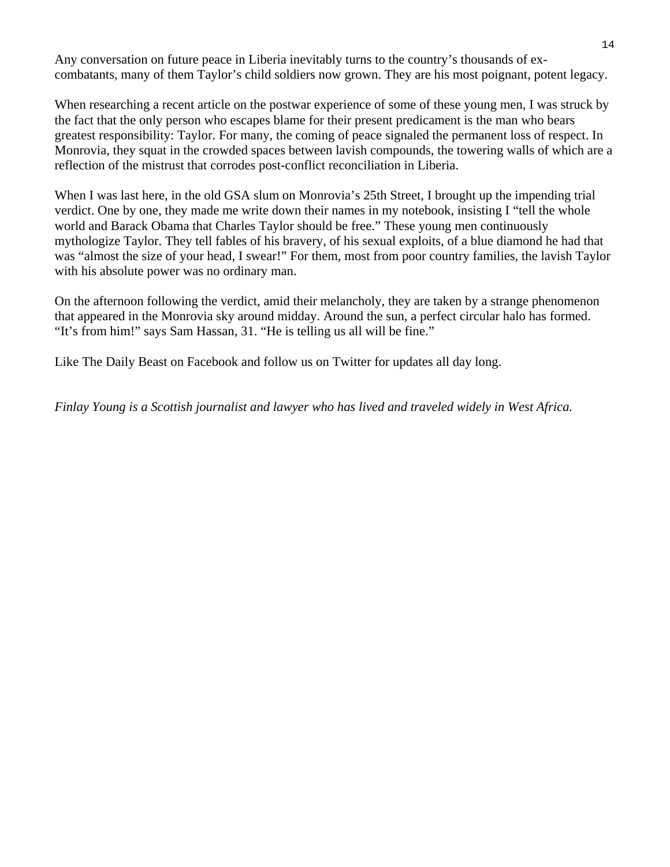Any conversation on future peace in Liberia inevitably turns to the country's thousands of excombatants, many of them Taylor's child soldiers now grown. They are his most poignant, potent legacy.

When researching a recent article on the postwar experience of some of these young men, I was struck by the fact that the only person who escapes blame for their present predicament is the man who bears greatest responsibility: Taylor. For many, the coming of peace signaled the permanent loss of respect. In Monrovia, they squat in the crowded spaces between lavish compounds, the towering walls of which are a reflection of the mistrust that corrodes post-conflict reconciliation in Liberia.

When I was last here, in the old GSA slum on Monrovia's 25th Street, I brought up the impending trial verdict. One by one, they made me write down their names in my notebook, insisting I "tell the whole world and Barack Obama that Charles Taylor should be free." These young men continuously mythologize Taylor. They tell fables of his bravery, of his sexual exploits, of a blue diamond he had that was "almost the size of your head, I swear!" For them, most from poor country families, the lavish Taylor with his absolute power was no ordinary man.

On the afternoon following the verdict, amid their melancholy, they are taken by a strange phenomenon that appeared in the Monrovia sky around midday. Around the sun, a perfect circular halo has formed. "It's from him!" says Sam Hassan, 31. "He is telling us all will be fine."

Like The Daily Beast on Facebook and follow us on Twitter for updates all day long.

*Finlay Young is a Scottish journalist and lawyer who has lived and traveled widely in West Africa.*